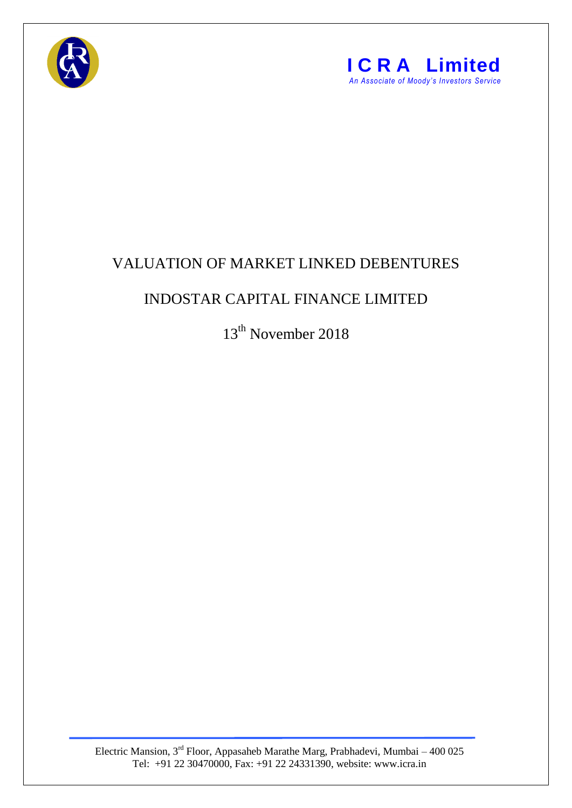



## VALUATION OF MARKET LINKED DEBENTURES

## INDOSTAR CAPITAL FINANCE LIMITED

13<sup>th</sup> November 2018